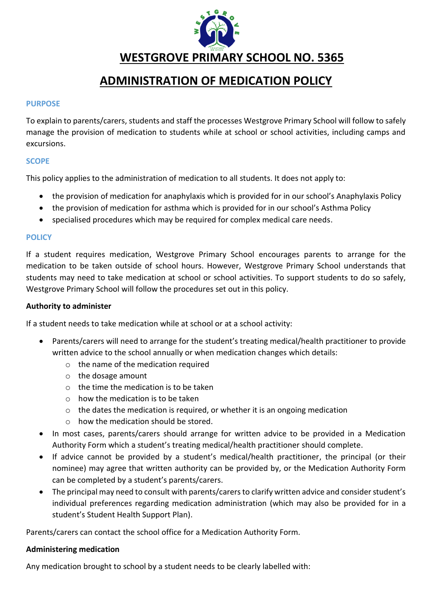

# **ADMINISTRATION OF MEDICATION POLICY**

### **PURPOSE**

To explain to parents/carers, students and staff the processes Westgrove Primary School will follow to safely manage the provision of medication to students while at school or school activities, including camps and excursions.

### **SCOPE**

This policy applies to the administration of medication to all students. It does not apply to:

- the provision of medication for anaphylaxis which is provided for in our school's Anaphylaxis Policy
- the provision of medication for asthma which is provided for in our school's Asthma Policy
- specialised procedures which may be required for complex medical care needs.

### **POLICY**

If a student requires medication, Westgrove Primary School encourages parents to arrange for the medication to be taken outside of school hours. However, Westgrove Primary School understands that students may need to take medication at school or school activities. To support students to do so safely, Westgrove Primary School will follow the procedures set out in this policy.

### **Authority to administer**

If a student needs to take medication while at school or at a school activity:

- Parents/carers will need to arrange for the student's treating medical/health practitioner to provide written advice to the school annually or when medication changes which details:
	- o the name of the medication required
	- o the dosage amount
	- $\circ$  the time the medication is to be taken
	- $\circ$  how the medication is to be taken
	- o the dates the medication is required, or whether it is an ongoing medication
	- o how the medication should be stored.
- In most cases, parents/carers should arrange for written advice to be provided in a Medication Authority Form which a student's treating medical/health practitioner should complete.
- If advice cannot be provided by a student's medical/health practitioner, the principal (or their nominee) may agree that written authority can be provided by, or the Medication Authority Form can be completed by a student's parents/carers.
- The principal may need to consult with parents/carers to clarify written advice and consider student's individual preferences regarding medication administration (which may also be provided for in a student's Student Health Support Plan).

Parents/carers can contact the school office for a Medication Authority Form.

### **Administering medication**

Any medication brought to school by a student needs to be clearly labelled with: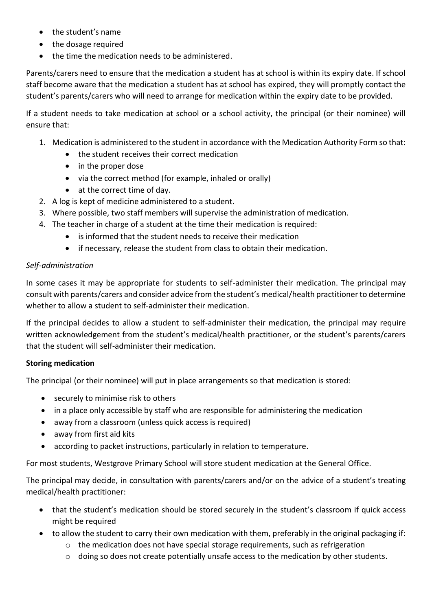- the student's name
- the dosage required
- the time the medication needs to be administered.

Parents/carers need to ensure that the medication a student has at school is within its expiry date. If school staff become aware that the medication a student has at school has expired, they will promptly contact the student's parents/carers who will need to arrange for medication within the expiry date to be provided.

If a student needs to take medication at school or a school activity, the principal (or their nominee) will ensure that:

- 1. Medication is administered to the student in accordance with the Medication Authority Form so that:
	- the student receives their correct medication
	- in the proper dose
	- via the correct method (for example, inhaled or orally)
	- at the correct time of day.
- 2. A log is kept of medicine administered to a student.
- 3. Where possible, two staff members will supervise the administration of medication.
- 4. The teacher in charge of a student at the time their medication is required:
	- is informed that the student needs to receive their medication
	- if necessary, release the student from class to obtain their medication.

# *Self-administration*

In some cases it may be appropriate for students to self-administer their medication. The principal may consult with parents/carers and consider advice from the student's medical/health practitioner to determine whether to allow a student to self-administer their medication.

If the principal decides to allow a student to self-administer their medication, the principal may require written acknowledgement from the student's medical/health practitioner, or the student's parents/carers that the student will self-administer their medication.

# **Storing medication**

The principal (or their nominee) will put in place arrangements so that medication is stored:

- securely to minimise risk to others
- in a place only accessible by staff who are responsible for administering the medication
- away from a classroom (unless quick access is required)
- away from first aid kits
- according to packet instructions, particularly in relation to temperature.

For most students, Westgrove Primary School will store student medication at the General Office.

The principal may decide, in consultation with parents/carers and/or on the advice of a student's treating medical/health practitioner:

- that the student's medication should be stored securely in the student's classroom if quick access might be required
- to allow the student to carry their own medication with them, preferably in the original packaging if:
	- o the medication does not have special storage requirements, such as refrigeration
	- $\circ$  doing so does not create potentially unsafe access to the medication by other students.